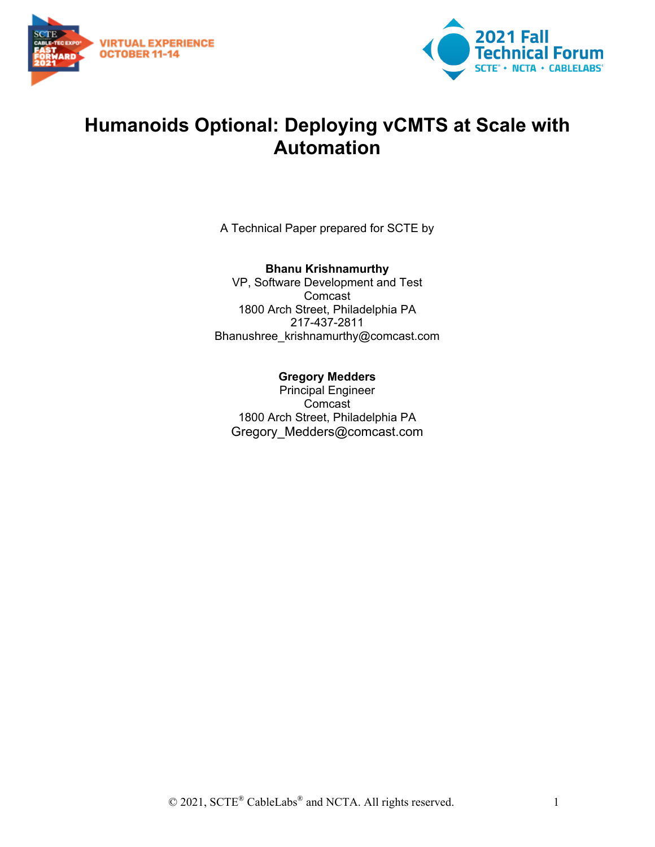



## **Humanoids Optional: Deploying vCMTS at Scale with Automation**

A Technical Paper prepared for SCTE by

#### **Bhanu Krishnamurthy**

VP, Software Development and Test Comcast 1800 Arch Street, Philadelphia PA 217-437-2811 Bhanushree\_krishnamurthy@comcast.com

#### **Gregory Medders**

Principal Engineer Comcast 1800 Arch Street, Philadelphia PA Gregory Medders@comcast.com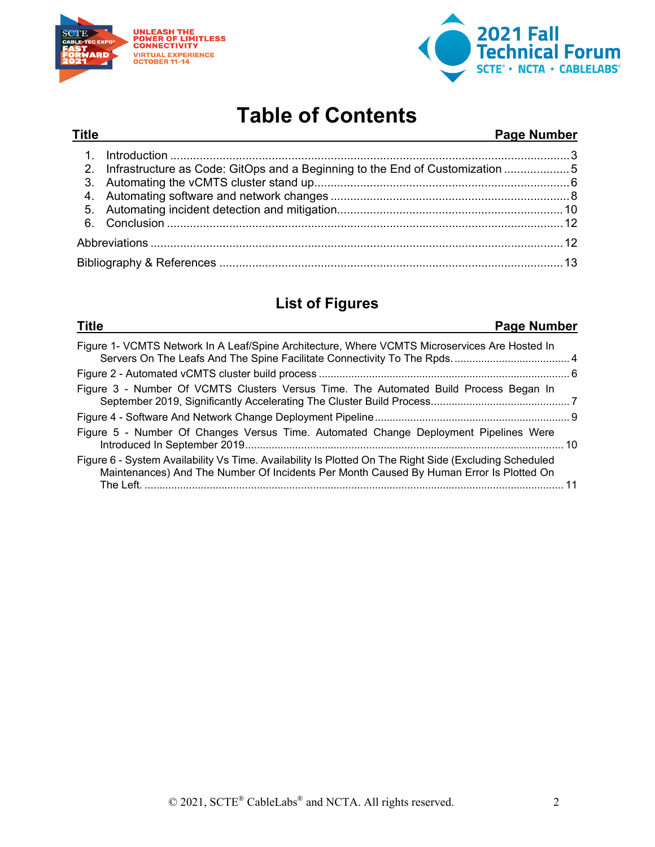



## **Table of Contents**

#### **Title Page Number**

| 2. Infrastructure as Code: GitOps and a Beginning to the End of Customization 5 |  |
|---------------------------------------------------------------------------------|--|
|                                                                                 |  |
|                                                                                 |  |
|                                                                                 |  |
|                                                                                 |  |
|                                                                                 |  |
|                                                                                 |  |

## **List of Figures**

| Page Number<br><b>Title</b>                                                                                                                                                                       |       |
|---------------------------------------------------------------------------------------------------------------------------------------------------------------------------------------------------|-------|
| Figure 1- VCMTS Network In A Leaf/Spine Architecture, Where VCMTS Microservices Are Hosted In                                                                                                     |       |
|                                                                                                                                                                                                   |       |
| Figure 3 - Number Of VCMTS Clusters Versus Time. The Automated Build Process Began In                                                                                                             |       |
|                                                                                                                                                                                                   |       |
| Figure 5 - Number Of Changes Versus Time. Automated Change Deployment Pipelines Were                                                                                                              |       |
| Figure 6 - System Availability Vs Time. Availability Is Plotted On The Right Side (Excluding Scheduled<br>Maintenances) And The Number Of Incidents Per Month Caused By Human Error Is Plotted On | $-11$ |
|                                                                                                                                                                                                   |       |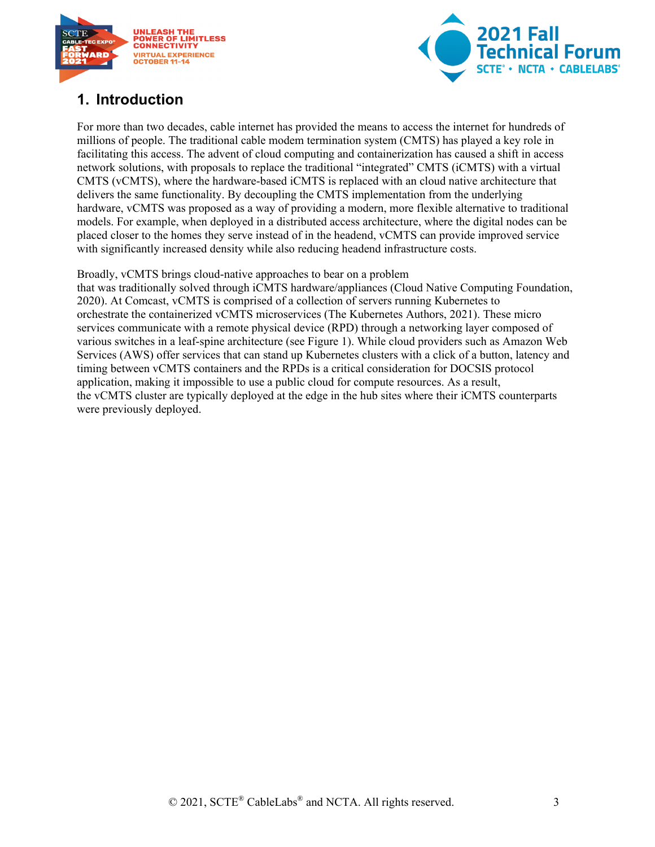



## <span id="page-2-0"></span>**1. Introduction**

For more than two decades, cable internet has provided the means to access the internet for hundreds of millions of people. The traditional cable modem termination system (CMTS) has played a key role in facilitating this access. The advent of cloud computing and containerization has caused a shift in access network solutions, with proposals to replace the traditional "integrated" CMTS (iCMTS) with a virtual CMTS (vCMTS), where the hardware-based iCMTS is replaced with an cloud native architecture that delivers the same functionality. By decoupling the CMTS implementation from the underlying hardware, vCMTS was proposed as a way of providing a modern, more flexible alternative to traditional models. For example, when deployed in a distributed access architecture, where the digital nodes can be placed closer to the homes they serve instead of in the headend, vCMTS can provide improved service with significantly increased density while also reducing headend infrastructure costs.

Broadly, vCMTS brings cloud-native approaches to bear on a problem

that was traditionally solved through iCMTS hardware/appliances (Cloud Native Computing Foundation, 2020). At Comcast, vCMTS is comprised of a collection of servers running Kubernetes to orchestrate the containerized vCMTS microservices (The Kubernetes Authors, 2021). These micro services communicate with a remote physical device (RPD) through a networking layer composed of various switches in a leaf-spine architecture (see Figure 1). While cloud providers such as Amazon Web Services (AWS) offer services that can stand up Kubernetes clusters with a click of a button, latency and timing between vCMTS containers and the RPDs is a critical consideration for DOCSIS protocol application, making it impossible to use a public cloud for compute resources. As a result, the vCMTS cluster are typically deployed at the edge in the hub sites where their iCMTS counterparts were previously deployed.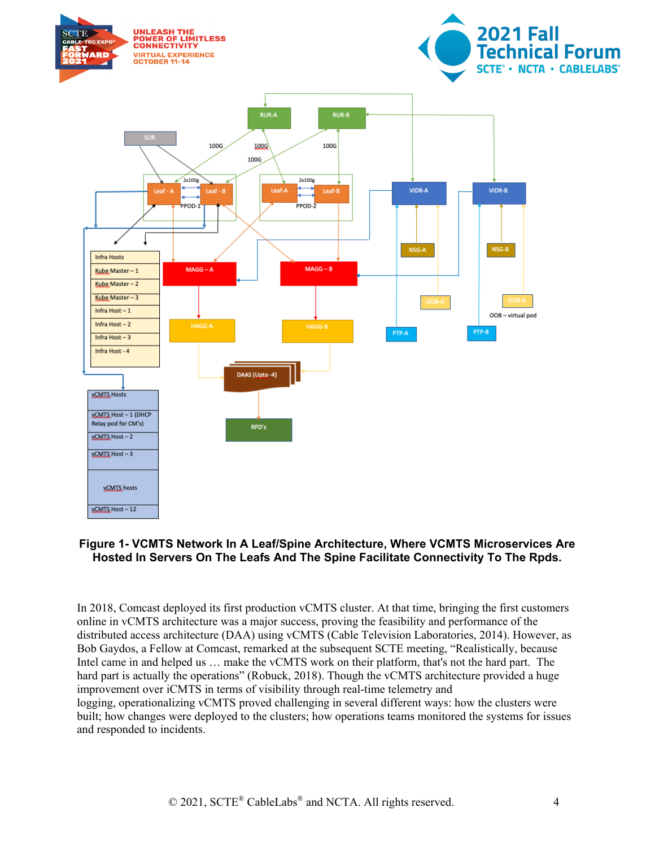

#### <span id="page-3-0"></span>**Figure 1- VCMTS Network In A Leaf/Spine Architecture, Where VCMTS Microservices Are Hosted In Servers On The Leafs And The Spine Facilitate Connectivity To The Rpds.**

In 2018, Comcast deployed its first production vCMTS cluster. At that time, bringing the first customers online in vCMTS architecture was a major success, proving the feasibility and performance of the distributed access architecture (DAA) using vCMTS (Cable Television Laboratories, 2014). However, as Bob Gaydos, a Fellow at Comcast, remarked at the subsequent SCTE meeting, "Realistically, because Intel came in and helped us … make the vCMTS work on their platform, that's not the hard part. The hard part is actually the operations" (Robuck, 2018). Though the vCMTS architecture provided a huge improvement over iCMTS in terms of visibility through real-time telemetry and logging, operationalizing vCMTS proved challenging in several different ways: how the clusters were built; how changes were deployed to the clusters; how operations teams monitored the systems for issues and responded to incidents.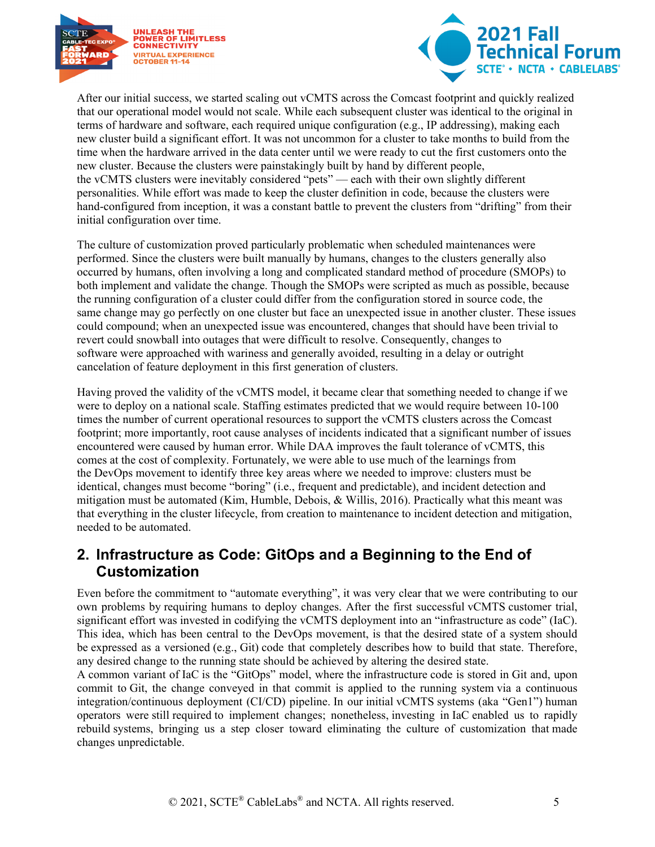



After our initial success, we started scaling out vCMTS across the Comcast footprint and quickly realized that our operational model would not scale. While each subsequent cluster was identical to the original in terms of hardware and software, each required unique configuration (e.g., IP addressing), making each new cluster build a significant effort. It was not uncommon for a cluster to take months to build from the time when the hardware arrived in the data center until we were ready to cut the first customers onto the new cluster. Because the clusters were painstakingly built by hand by different people, the vCMTS clusters were inevitably considered "pets" — each with their own slightly different personalities. While effort was made to keep the cluster definition in code, because the clusters were hand-configured from inception, it was a constant battle to prevent the clusters from "drifting" from their initial configuration over time.

The culture of customization proved particularly problematic when scheduled maintenances were performed. Since the clusters were built manually by humans, changes to the clusters generally also occurred by humans, often involving a long and complicated standard method of procedure (SMOPs) to both implement and validate the change. Though the SMOPs were scripted as much as possible, because the running configuration of a cluster could differ from the configuration stored in source code, the same change may go perfectly on one cluster but face an unexpected issue in another cluster. These issues could compound; when an unexpected issue was encountered, changes that should have been trivial to revert could snowball into outages that were difficult to resolve. Consequently, changes to software were approached with wariness and generally avoided, resulting in a delay or outright cancelation of feature deployment in this first generation of clusters.

Having proved the validity of the vCMTS model, it became clear that something needed to change if we were to deploy on a national scale. Staffing estimates predicted that we would require between 10-100 times the number of current operational resources to support the vCMTS clusters across the Comcast footprint; more importantly, root cause analyses of incidents indicated that a significant number of issues encountered were caused by human error. While DAA improves the fault tolerance of vCMTS, this comes at the cost of complexity. Fortunately, we were able to use much of the learnings from the DevOps movement to identify three key areas where we needed to improve: clusters must be identical, changes must become "boring" (i.e., frequent and predictable), and incident detection and mitigation must be automated (Kim, Humble, Debois, & Willis, 2016). Practically what this meant was that everything in the cluster lifecycle, from creation to maintenance to incident detection and mitigation, needed to be automated.

#### <span id="page-4-0"></span>**2. Infrastructure as Code: GitOps and a Beginning to the End of Customization**

Even before the commitment to "automate everything", it was very clear that we were contributing to our own problems by requiring humans to deploy changes. After the first successful vCMTS customer trial, significant effort was invested in codifying the vCMTS deployment into an "infrastructure as code" (IaC). This idea, which has been central to the DevOps movement, is that the desired state of a system should be expressed as a versioned (e.g., Git) code that completely describes how to build that state. Therefore, any desired change to the running state should be achieved by altering the desired state.

A common variant of IaC is the "GitOps" model, where the infrastructure code is stored in Git and, upon commit to Git, the change conveyed in that commit is applied to the running system via a continuous integration/continuous deployment (CI/CD) pipeline. In our initial vCMTS systems (aka "Gen1") human operators were still required to implement changes; nonetheless, investing in IaC enabled us to rapidly rebuild systems, bringing us a step closer toward eliminating the culture of customization that made changes unpredictable.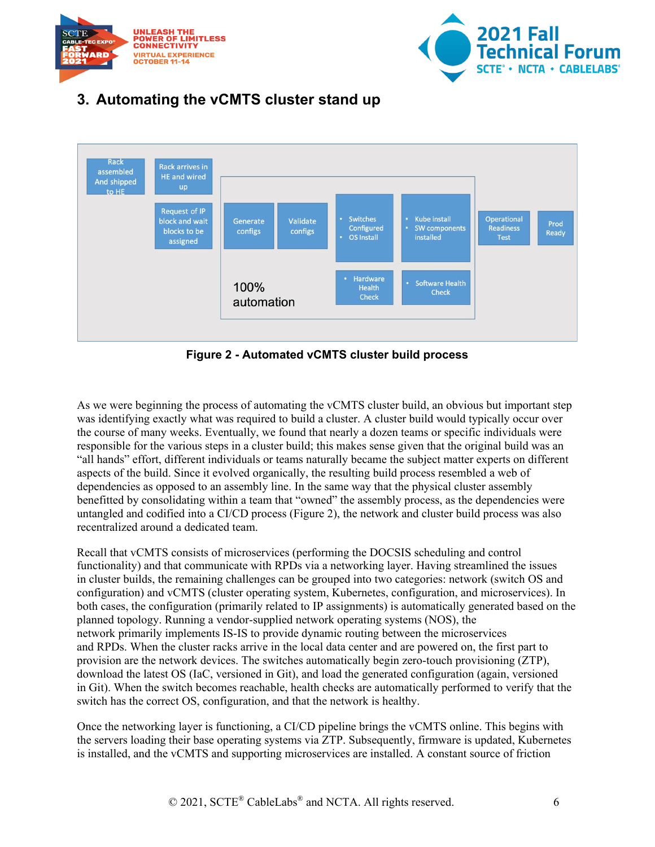



## <span id="page-5-0"></span>**3. Automating the vCMTS cluster stand up**



**Figure 2 - Automated vCMTS cluster build process**

<span id="page-5-1"></span>As we were beginning the process of automating the vCMTS cluster build, an obvious but important step was identifying exactly what was required to build a cluster. A cluster build would typically occur over the course of many weeks. Eventually, we found that nearly a dozen teams or specific individuals were responsible for the various steps in a cluster build; this makes sense given that the original build was an "all hands" effort, different individuals or teams naturally became the subject matter experts on different aspects of the build. Since it evolved organically, the resulting build process resembled a web of dependencies as opposed to an assembly line. In the same way that the physical cluster assembly benefitted by consolidating within a team that "owned" the assembly process, as the dependencies were untangled and codified into a CI/CD process (Figure 2), the network and cluster build process was also recentralized around a dedicated team.

Recall that vCMTS consists of microservices (performing the DOCSIS scheduling and control functionality) and that communicate with RPDs via a networking layer. Having streamlined the issues in cluster builds, the remaining challenges can be grouped into two categories: network (switch OS and configuration) and vCMTS (cluster operating system, Kubernetes, configuration, and microservices). In both cases, the configuration (primarily related to IP assignments) is automatically generated based on the planned topology. Running a vendor-supplied network operating systems (NOS), the network primarily implements IS-IS to provide dynamic routing between the microservices and RPDs. When the cluster racks arrive in the local data center and are powered on, the first part to provision are the network devices. The switches automatically begin zero-touch provisioning (ZTP), download the latest OS (IaC, versioned in Git), and load the generated configuration (again, versioned in Git). When the switch becomes reachable, health checks are automatically performed to verify that the switch has the correct OS, configuration, and that the network is healthy.

Once the networking layer is functioning, a CI/CD pipeline brings the vCMTS online. This begins with the servers loading their base operating systems via ZTP. Subsequently, firmware is updated, Kubernetes is installed, and the vCMTS and supporting microservices are installed. A constant source of friction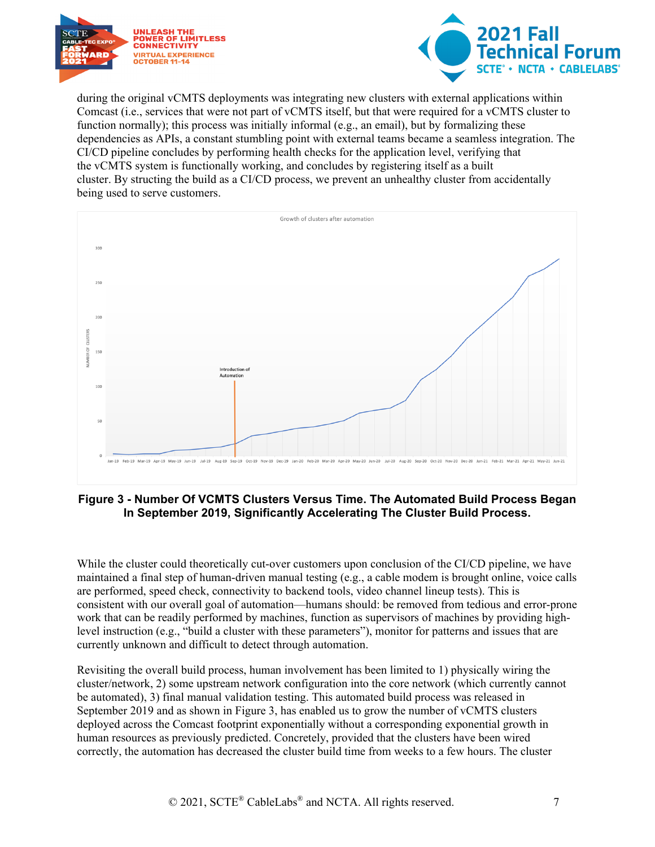



during the original vCMTS deployments was integrating new clusters with external applications within Comcast (i.e., services that were not part of vCMTS itself, but that were required for a vCMTS cluster to function normally); this process was initially informal (e.g., an email), but by formalizing these dependencies as APIs, a constant stumbling point with external teams became a seamless integration. The CI/CD pipeline concludes by performing health checks for the application level, verifying that the vCMTS system is functionally working, and concludes by registering itself as a built cluster. By structing the build as a CI/CD process, we prevent an unhealthy cluster from accidentally being used to serve customers.



<span id="page-6-0"></span>**Figure 3 - Number Of VCMTS Clusters Versus Time. The Automated Build Process Began In September 2019, Significantly Accelerating The Cluster Build Process.**

While the cluster could theoretically cut-over customers upon conclusion of the CI/CD pipeline, we have maintained a final step of human-driven manual testing (e.g., a cable modem is brought online, voice calls are performed, speed check, connectivity to backend tools, video channel lineup tests). This is consistent with our overall goal of automation—humans should: be removed from tedious and error-prone work that can be readily performed by machines, function as supervisors of machines by providing highlevel instruction (e.g., "build a cluster with these parameters"), monitor for patterns and issues that are currently unknown and difficult to detect through automation.

Revisiting the overall build process, human involvement has been limited to 1) physically wiring the cluster/network, 2) some upstream network configuration into the core network (which currently cannot be automated), 3) final manual validation testing. This automated build process was released in September 2019 and as shown in Figure 3, has enabled us to grow the number of vCMTS clusters deployed across the Comcast footprint exponentially without a corresponding exponential growth in human resources as previously predicted. Concretely, provided that the clusters have been wired correctly, the automation has decreased the cluster build time from weeks to a few hours. The cluster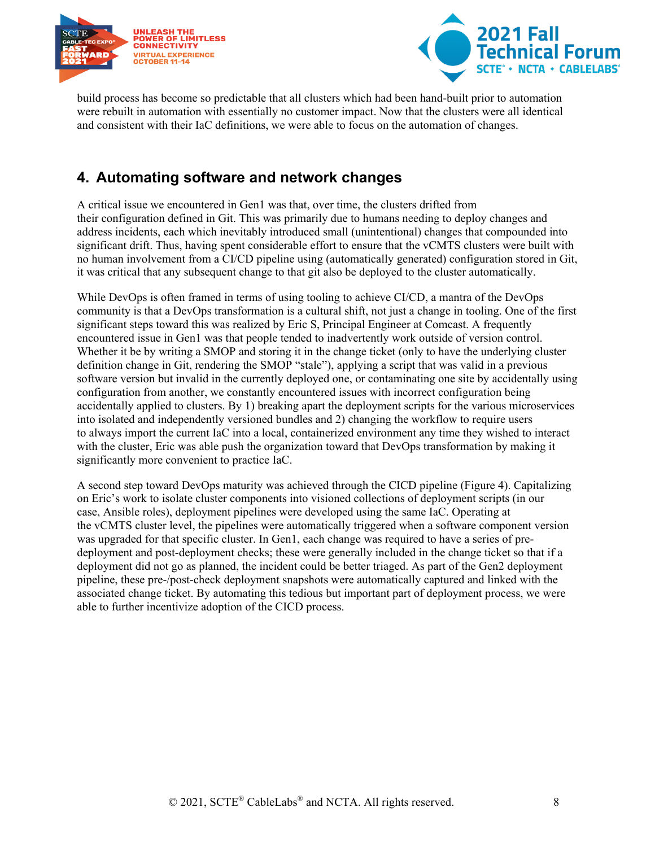



build process has become so predictable that all clusters which had been hand-built prior to automation were rebuilt in automation with essentially no customer impact. Now that the clusters were all identical and consistent with their IaC definitions, we were able to focus on the automation of changes.

### <span id="page-7-0"></span>**4. Automating software and network changes**

A critical issue we encountered in Gen1 was that, over time, the clusters drifted from their configuration defined in Git. This was primarily due to humans needing to deploy changes and address incidents, each which inevitably introduced small (unintentional) changes that compounded into significant drift. Thus, having spent considerable effort to ensure that the vCMTS clusters were built with no human involvement from a CI/CD pipeline using (automatically generated) configuration stored in Git, it was critical that any subsequent change to that git also be deployed to the cluster automatically.

While DevOps is often framed in terms of using tooling to achieve CI/CD, a mantra of the DevOps community is that a DevOps transformation is a cultural shift, not just a change in tooling. One of the first significant steps toward this was realized by Eric S, Principal Engineer at Comcast. A frequently encountered issue in Gen1 was that people tended to inadvertently work outside of version control. Whether it be by writing a SMOP and storing it in the change ticket (only to have the underlying cluster definition change in Git, rendering the SMOP "stale"), applying a script that was valid in a previous software version but invalid in the currently deployed one, or contaminating one site by accidentally using configuration from another, we constantly encountered issues with incorrect configuration being accidentally applied to clusters. By 1) breaking apart the deployment scripts for the various microservices into isolated and independently versioned bundles and 2) changing the workflow to require users to always import the current IaC into a local, containerized environment any time they wished to interact with the cluster, Eric was able push the organization toward that DevOps transformation by making it significantly more convenient to practice IaC.

A second step toward DevOps maturity was achieved through the CICD pipeline (Figure 4). Capitalizing on Eric's work to isolate cluster components into visioned collections of deployment scripts (in our case, Ansible roles), deployment pipelines were developed using the same IaC. Operating at the vCMTS cluster level, the pipelines were automatically triggered when a software component version was upgraded for that specific cluster. In Gen1, each change was required to have a series of predeployment and post-deployment checks; these were generally included in the change ticket so that if a deployment did not go as planned, the incident could be better triaged. As part of the Gen2 deployment pipeline, these pre-/post-check deployment snapshots were automatically captured and linked with the associated change ticket. By automating this tedious but important part of deployment process, we were able to further incentivize adoption of the CICD process.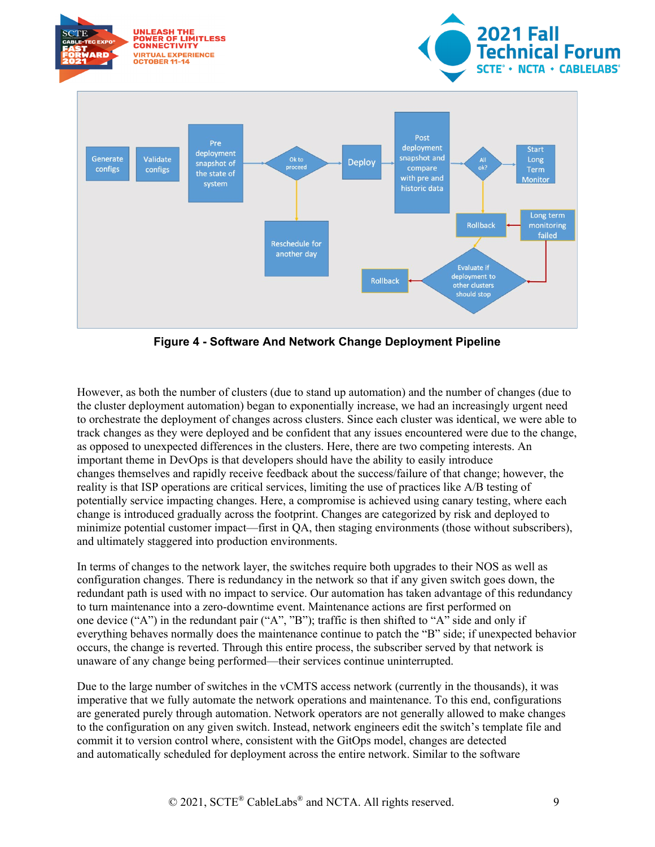

**Figure 4 - Software And Network Change Deployment Pipeline**

<span id="page-8-0"></span>However, as both the number of clusters (due to stand up automation) and the number of changes (due to the cluster deployment automation) began to exponentially increase, we had an increasingly urgent need to orchestrate the deployment of changes across clusters. Since each cluster was identical, we were able to track changes as they were deployed and be confident that any issues encountered were due to the change, as opposed to unexpected differences in the clusters. Here, there are two competing interests. An important theme in DevOps is that developers should have the ability to easily introduce changes themselves and rapidly receive feedback about the success/failure of that change; however, the reality is that ISP operations are critical services, limiting the use of practices like A/B testing of potentially service impacting changes. Here, a compromise is achieved using canary testing, where each change is introduced gradually across the footprint. Changes are categorized by risk and deployed to minimize potential customer impact—first in QA, then staging environments (those without subscribers), and ultimately staggered into production environments.

In terms of changes to the network layer, the switches require both upgrades to their NOS as well as configuration changes. There is redundancy in the network so that if any given switch goes down, the redundant path is used with no impact to service. Our automation has taken advantage of this redundancy to turn maintenance into a zero-downtime event. Maintenance actions are first performed on one device ("A") in the redundant pair ("A", "B"); traffic is then shifted to "A" side and only if everything behaves normally does the maintenance continue to patch the "B" side; if unexpected behavior occurs, the change is reverted. Through this entire process, the subscriber served by that network is unaware of any change being performed—their services continue uninterrupted.

Due to the large number of switches in the vCMTS access network (currently in the thousands), it was imperative that we fully automate the network operations and maintenance. To this end, configurations are generated purely through automation. Network operators are not generally allowed to make changes to the configuration on any given switch. Instead, network engineers edit the switch's template file and commit it to version control where, consistent with the GitOps model, changes are detected and automatically scheduled for deployment across the entire network. Similar to the software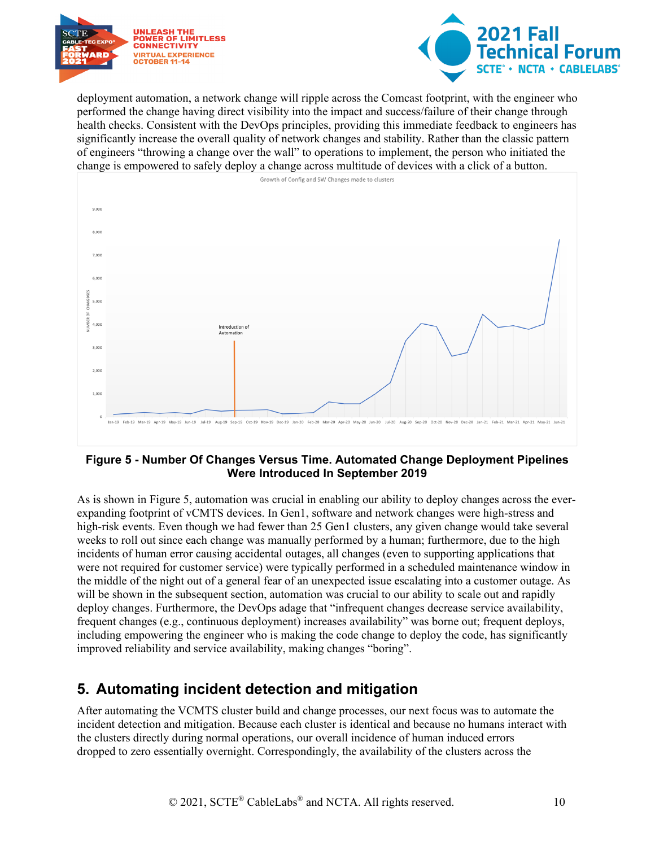



deployment automation, a network change will ripple across the Comcast footprint, with the engineer who performed the change having direct visibility into the impact and success/failure of their change through health checks. Consistent with the DevOps principles, providing this immediate feedback to engineers has significantly increase the overall quality of network changes and stability. Rather than the classic pattern of engineers "throwing a change over the wall" to operations to implement, the person who initiated the change is empowered to safely deploy a change across multitude of devices with a click of a button.



#### <span id="page-9-1"></span>**Figure 5 - Number Of Changes Versus Time. Automated Change Deployment Pipelines Were Introduced In September 2019**

As is shown in [Figure 5,](#page-9-1) automation was crucial in enabling our ability to deploy changes across the everexpanding footprint of vCMTS devices. In Gen1, software and network changes were high-stress and high-risk events. Even though we had fewer than 25 Gen1 clusters, any given change would take several weeks to roll out since each change was manually performed by a human; furthermore, due to the high incidents of human error causing accidental outages, all changes (even to supporting applications that were not required for customer service) were typically performed in a scheduled maintenance window in the middle of the night out of a general fear of an unexpected issue escalating into a customer outage. As will be shown in the subsequent section, automation was crucial to our ability to scale out and rapidly deploy changes. Furthermore, the DevOps adage that "infrequent changes decrease service availability, frequent changes (e.g., continuous deployment) increases availability" was borne out; frequent deploys, including empowering the engineer who is making the code change to deploy the code, has significantly improved reliability and service availability, making changes "boring".

## <span id="page-9-0"></span>**5. Automating incident detection and mitigation**

After automating the VCMTS cluster build and change processes, our next focus was to automate the incident detection and mitigation. Because each cluster is identical and because no humans interact with the clusters directly during normal operations, our overall incidence of human induced errors dropped to zero essentially overnight. Correspondingly, the availability of the clusters across the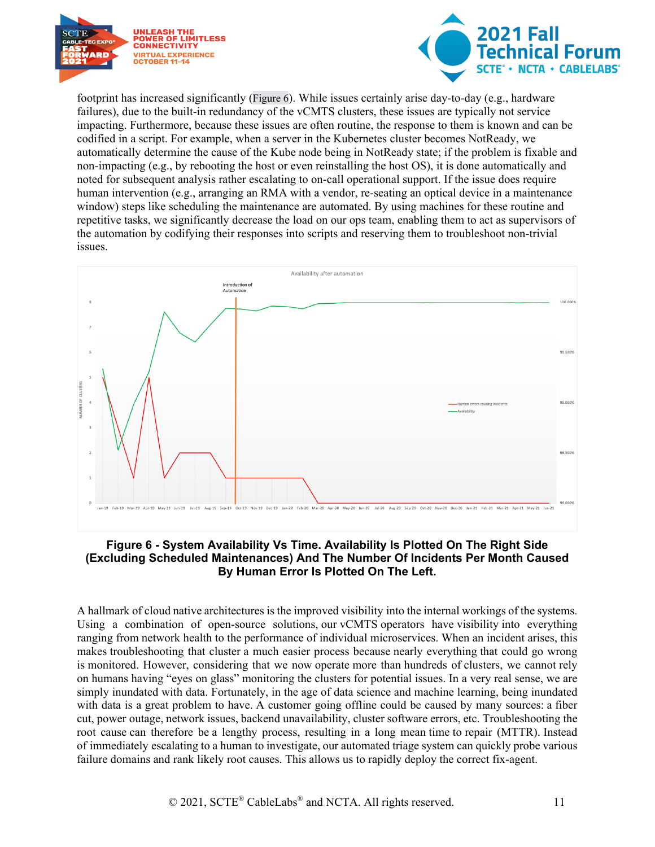



footprint has increased significantly (Figure 6). While issues certainly arise day-to-day (e.g., hardware failures), due to the built-in redundancy of the vCMTS clusters, these issues are typically not service impacting. Furthermore, because these issues are often routine, the response to them is known and can be codified in a script. For example, when a server in the Kubernetes cluster becomes NotReady, we automatically determine the cause of the Kube node being in NotReady state; if the problem is fixable and non-impacting (e.g., by rebooting the host or even reinstalling the host OS), it is done automatically and noted for subsequent analysis rather escalating to on-call operational support. If the issue does require human intervention (e.g., arranging an RMA with a vendor, re-seating an optical device in a maintenance window) steps like scheduling the maintenance are automated. By using machines for these routine and repetitive tasks, we significantly decrease the load on our ops team, enabling them to act as supervisors of the automation by codifying their responses into scripts and reserving them to troubleshoot non-trivial issues.



#### <span id="page-10-0"></span>**Figure 6 - System Availability Vs Time. Availability Is Plotted On The Right Side (Excluding Scheduled Maintenances) And The Number Of Incidents Per Month Caused By Human Error Is Plotted On The Left.**

A hallmark of cloud native architectures is the improved visibility into the internal workings of the systems. Using a combination of open-source solutions, our vCMTS operators have visibility into everything ranging from network health to the performance of individual microservices. When an incident arises, this makes troubleshooting that cluster a much easier process because nearly everything that could go wrong is monitored. However, considering that we now operate more than hundreds of clusters, we cannot rely on humans having "eyes on glass" monitoring the clusters for potential issues. In a very real sense, we are simply inundated with data. Fortunately, in the age of data science and machine learning, being inundated with data is a great problem to have. A customer going offline could be caused by many sources: a fiber cut, power outage, network issues, backend unavailability, cluster software errors, etc. Troubleshooting the root cause can therefore be a lengthy process, resulting in a long mean time to repair (MTTR). Instead of immediately escalating to a human to investigate, our automated triage system can quickly probe various failure domains and rank likely root causes. This allows us to rapidly deploy the correct fix-agent.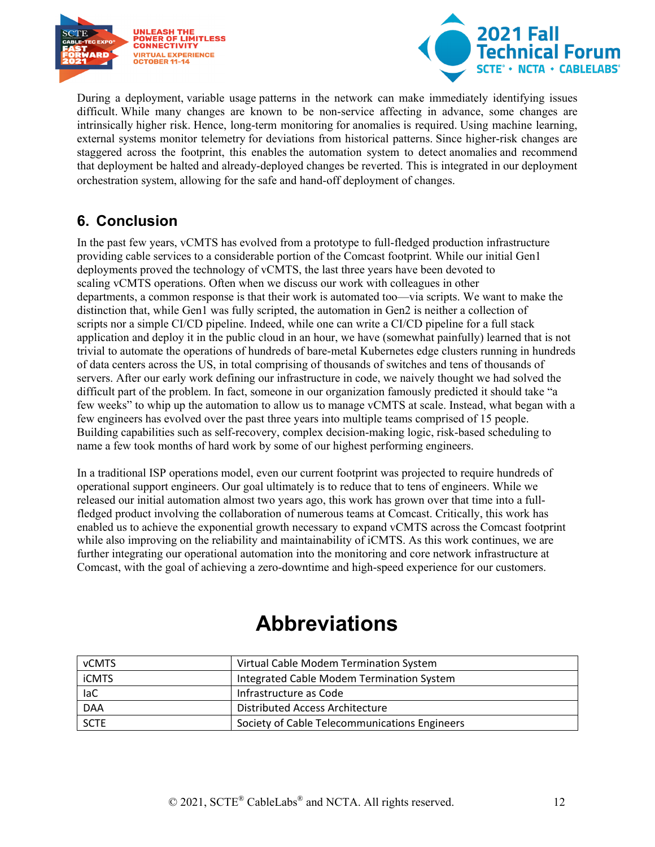



During a deployment, variable usage patterns in the network can make immediately identifying issues difficult. While many changes are known to be non-service affecting in advance, some changes are intrinsically higher risk. Hence, long-term monitoring for anomalies is required. Using machine learning, external systems monitor telemetry for deviations from historical patterns. Since higher-risk changes are staggered across the footprint, this enables the automation system to detect anomalies and recommend that deployment be halted and already-deployed changes be reverted. This is integrated in our deployment orchestration system, allowing for the safe and hand-off deployment of changes.

### <span id="page-11-0"></span>**6. Conclusion**

In the past few years, vCMTS has evolved from a prototype to full-fledged production infrastructure providing cable services to a considerable portion of the Comcast footprint. While our initial Gen1 deployments proved the technology of vCMTS, the last three years have been devoted to scaling vCMTS operations. Often when we discuss our work with colleagues in other departments, a common response is that their work is automated too—via scripts. We want to make the distinction that, while Gen1 was fully scripted, the automation in Gen2 is neither a collection of scripts nor a simple CI/CD pipeline. Indeed, while one can write a CI/CD pipeline for a full stack application and deploy it in the public cloud in an hour, we have (somewhat painfully) learned that is not trivial to automate the operations of hundreds of bare-metal Kubernetes edge clusters running in hundreds of data centers across the US, in total comprising of thousands of switches and tens of thousands of servers. After our early work defining our infrastructure in code, we naively thought we had solved the difficult part of the problem. In fact, someone in our organization famously predicted it should take "a few weeks" to whip up the automation to allow us to manage vCMTS at scale. Instead, what began with a few engineers has evolved over the past three years into multiple teams comprised of 15 people. Building capabilities such as self-recovery, complex decision-making logic, risk-based scheduling to name a few took months of hard work by some of our highest performing engineers.

In a traditional ISP operations model, even our current footprint was projected to require hundreds of operational support engineers. Our goal ultimately is to reduce that to tens of engineers. While we released our initial automation almost two years ago, this work has grown over that time into a fullfledged product involving the collaboration of numerous teams at Comcast. Critically, this work has enabled us to achieve the exponential growth necessary to expand vCMTS across the Comcast footprint while also improving on the reliability and maintainability of iCMTS. As this work continues, we are further integrating our operational automation into the monitoring and core network infrastructure at Comcast, with the goal of achieving a zero-downtime and high-speed experience for our customers.

## **Abbreviations**

<span id="page-11-1"></span>

| <b>vCMTS</b> | Virtual Cable Modem Termination System        |
|--------------|-----------------------------------------------|
| <b>iCMTS</b> | Integrated Cable Modem Termination System     |
| laC          | Infrastructure as Code                        |
| <b>DAA</b>   | Distributed Access Architecture               |
| <b>SCTE</b>  | Society of Cable Telecommunications Engineers |